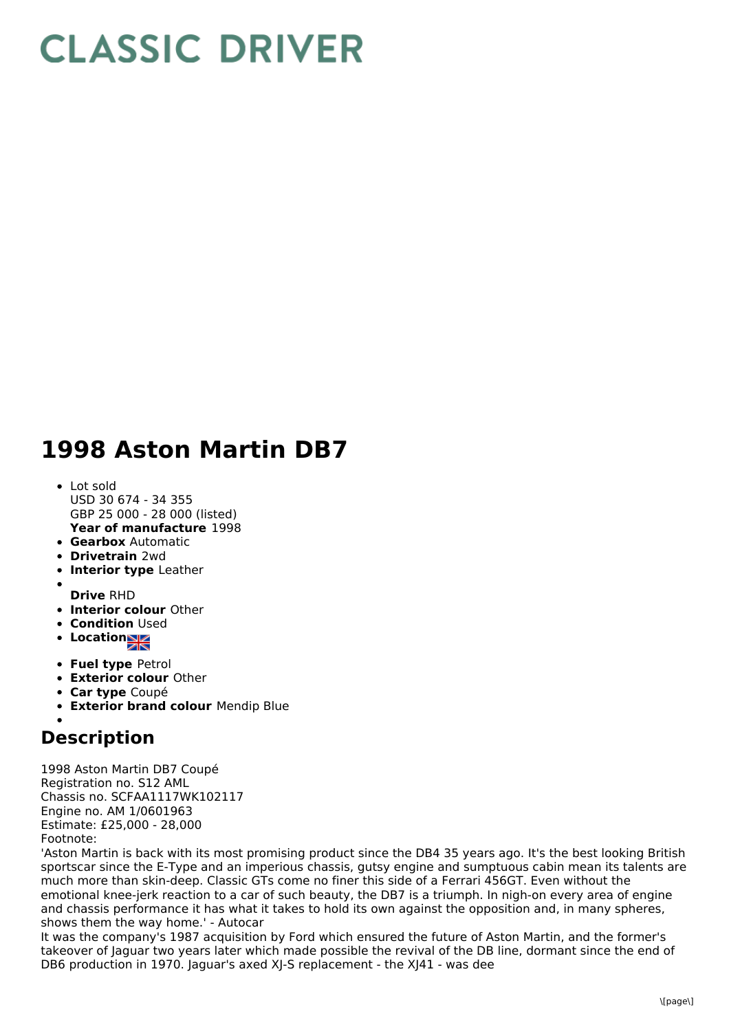## **CLASSIC DRIVER**

## **1998 Aston Martin DB7**

- **Year of manufacture** 1998 Lot sold USD 30 674 - 34 355 GBP 25 000 - 28 000 (listed)
- **Gearbox** Automatic
- **Drivetrain** 2wd
- **Interior type** Leather
- **Drive** RHD
- **Interior colour** Other
- **Condition Used**
- Location
- **Fuel type** Petrol
- **Exterior colour** Other
- **Car type** Coupé
- **Exterior brand colour** Mendip Blue

## **Description**

1998 Aston Martin DB7 Coupé Registration no. S12 AML Chassis no. SCFAA1117WK102117 Engine no. AM 1/0601963 Estimate: £25,000 - 28,000 Footnote:

'Aston Martin is back with its most promising product since the DB4 35 years ago. It's the best looking British sportscar since the E-Type and an imperious chassis, gutsy engine and sumptuous cabin mean its talents are much more than skin-deep. Classic GTs come no finer this side of a Ferrari 456GT. Even without the emotional knee-jerk reaction to a car of such beauty, the DB7 is a triumph. In nigh-on every area of engine and chassis performance it has what it takes to hold its own against the opposition and, in many spheres, shows them the way home.' - Autocar

It was the company's 1987 acquisition by Ford which ensured the future of Aston Martin, and the former's takeover of Jaguar two years later which made possible the revival of the DB line, dormant since the end of DB6 production in 1970. Jaguar's axed XJ-S replacement - the XJ41 - was dee